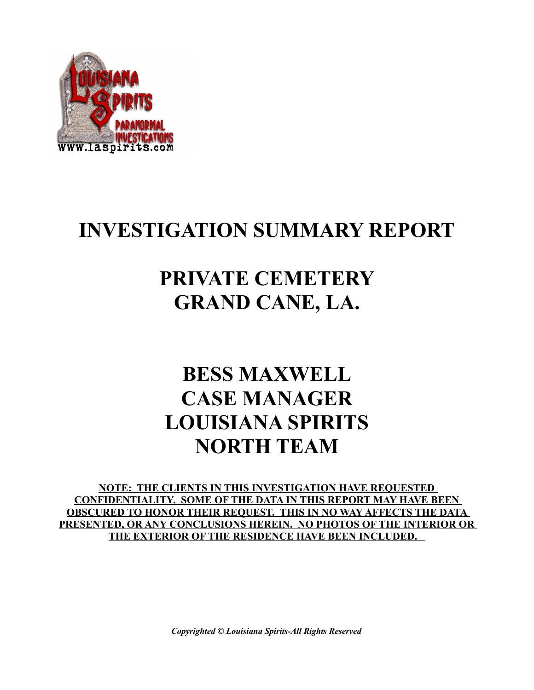

### **INVESTIGATION SUMMARY REPORT**

## **PRIVATE CEMETERY GRAND CANE, LA.**

## **BESS MAXWELL CASE MANAGER LOUISIANA SPIRITS NORTH TEAM**

**NOTE: THE CLIENTS IN THIS INVESTIGATION HAVE REQUESTED CONFIDENTIALITY. SOME OF THE DATA IN THIS REPORT MAY HAVE BEEN OBSCURED TO HONOR THEIR REQUEST. THIS IN NO WAY AFFECTS THE DATA PRESENTED, OR ANY CONCLUSIONS HEREIN. NO PHOTOS OF THE INTERIOR OR THE EXTERIOR OF THE RESIDENCE HAVE BEEN INCLUDED.** 

*Copyrighted © Louisiana Spirits-All Rights Reserved*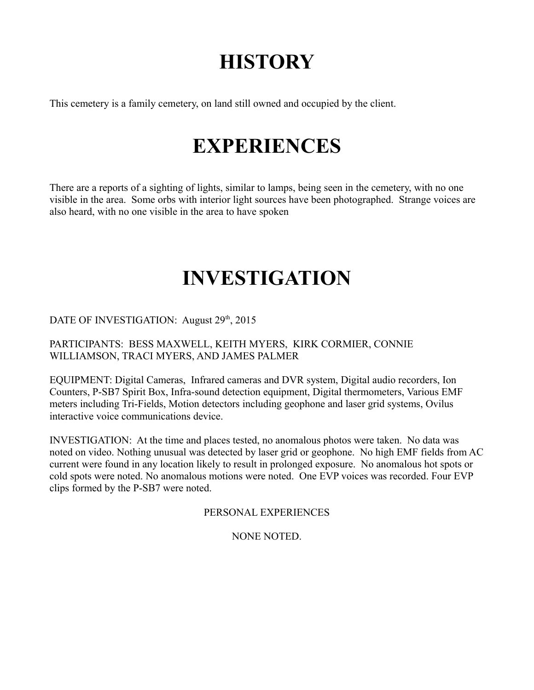# **HISTORY**

This cemetery is a family cemetery, on land still owned and occupied by the client.

#### **EXPERIENCES**

There are a reports of a sighting of lights, similar to lamps, being seen in the cemetery, with no one visible in the area. Some orbs with interior light sources have been photographed. Strange voices are also heard, with no one visible in the area to have spoken

## **INVESTIGATION**

DATE OF INVESTIGATION: August  $29<sup>th</sup>$ ,  $2015$ 

PARTICIPANTS: BESS MAXWELL, KEITH MYERS, KIRK CORMIER, CONNIE WILLIAMSON, TRACI MYERS, AND JAMES PALMER

EQUIPMENT: Digital Cameras, Infrared cameras and DVR system, Digital audio recorders, Ion Counters, P-SB7 Spirit Box, Infra-sound detection equipment, Digital thermometers, Various EMF meters including Tri-Fields, Motion detectors including geophone and laser grid systems, Ovilus interactive voice communications device.

INVESTIGATION: At the time and places tested, no anomalous photos were taken. No data was noted on video. Nothing unusual was detected by laser grid or geophone. No high EMF fields from AC current were found in any location likely to result in prolonged exposure. No anomalous hot spots or cold spots were noted. No anomalous motions were noted. One EVP voices was recorded. Four EVP clips formed by the P-SB7 were noted.

PERSONAL EXPERIENCES

NONE NOTED.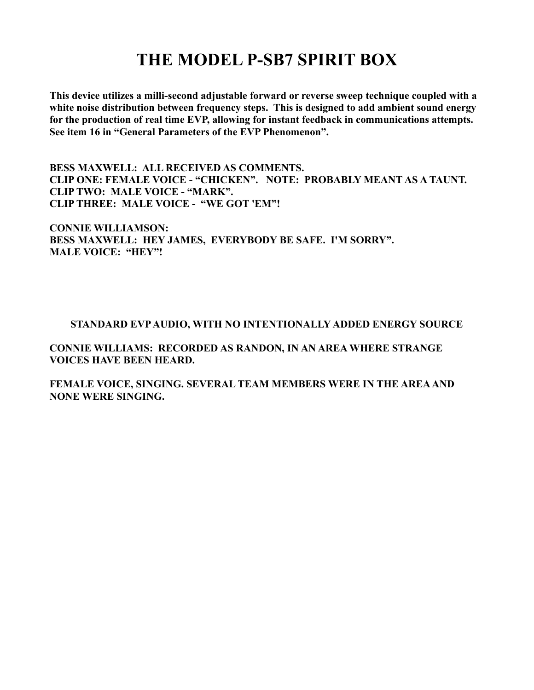#### **THE MODEL P-SB7 SPIRIT BOX**

**This device utilizes a milli-second adjustable forward or reverse sweep technique coupled with a white noise distribution between frequency steps. This is designed to add ambient sound energy for the production of real time EVP, allowing for instant feedback in communications attempts. See item 16 in "General Parameters of the EVP Phenomenon".** 

**BESS MAXWELL: ALL RECEIVED AS COMMENTS. CLIP ONE: FEMALE VOICE - "CHICKEN". NOTE: PROBABLY MEANT AS A TAUNT. CLIP TWO: MALE VOICE - "MARK". CLIP THREE: MALE VOICE - "WE GOT 'EM"!**

**CONNIE WILLIAMSON: BESS MAXWELL: HEY JAMES, EVERYBODY BE SAFE. I'M SORRY". MALE VOICE: "HEY"!**

#### **STANDARD EVP AUDIO, WITH NO INTENTIONALLY ADDED ENERGY SOURCE**

**CONNIE WILLIAMS: RECORDED AS RANDON, IN AN AREA WHERE STRANGE VOICES HAVE BEEN HEARD.**

**FEMALE VOICE, SINGING. SEVERAL TEAM MEMBERS WERE IN THE AREA AND NONE WERE SINGING.**